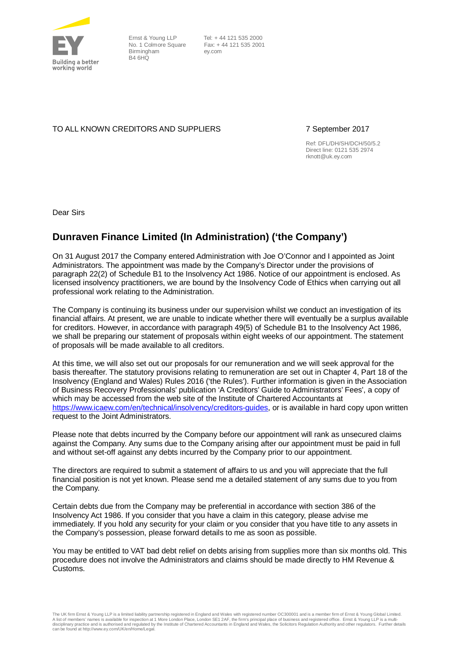

Ernst & Young LLP Birmingham B4 6HQ

No. 1 Colmore Square Fax: + 44 121 535 2001 Tel: + 44 121 535 2000 ey.com

### TO ALL KNOWN CREDITORS AND SUPPLIERS 7 September 2017

Ref: DFL/DH/SH/DCH/50/5.2 Direct line: 0121 535 2974 rknott@uk.ey.com

Dear Sirs

## **Dunraven Finance Limited (In Administration) ('the Company')**

On 31 August 2017 the Company entered Administration with Joe O'Connor and I appointed as Joint Administrators. The appointment was made by the Company's Director under the provisions of paragraph 22(2) of Schedule B1 to the Insolvency Act 1986. Notice of our appointment is enclosed. As licensed insolvency practitioners, we are bound by the Insolvency Code of Ethics when carrying out all professional work relating to the Administration.

The Company is continuing its business under our supervision whilst we conduct an investigation of its financial affairs. At present, we are unable to indicate whether there will eventually be a surplus available for creditors. However, in accordance with paragraph 49(5) of Schedule B1 to the Insolvency Act 1986, we shall be preparing our statement of proposals within eight weeks of our appointment. The statement of proposals will be made available to all creditors.

At this time, we will also set out our proposals for our remuneration and we will seek approval for the basis thereafter. The statutory provisions relating to remuneration are set out in Chapter 4, Part 18 of the Insolvency (England and Wales) Rules 2016 ('the Rules'). Further information is given in the Association of Business Recovery Professionals' publication 'A Creditors' Guide to Administrators' Fees', a copy of which may be accessed from the web site of the Institute of Chartered Accountants at [https://www.icaew.com/en/technical/insolvency/creditors-guides,](https://www.icaew.com/en/technical/insolvency/creditors-guides) or is available in hard copy upon written request to the Joint Administrators.

Please note that debts incurred by the Company before our appointment will rank as unsecured claims against the Company. Any sums due to the Company arising after our appointment must be paid in full and without set-off against any debts incurred by the Company prior to our appointment.

The directors are required to submit a statement of affairs to us and you will appreciate that the full financial position is not yet known. Please send me a detailed statement of any sums due to you from the Company.

Certain debts due from the Company may be preferential in accordance with section 386 of the Insolvency Act 1986. If you consider that you have a claim in this category, please advise me immediately. If you hold any security for your claim or you consider that you have title to any assets in the Company's possession, please forward details to me as soon as possible.

You may be entitled to VAT bad debt relief on debts arising from supplies more than six months old. This procedure does not involve the Administrators and claims should be made directly to HM Revenue & Customs.

The UK firm Ernst & Young LLP is a limited liability partnership registered in England and Wales with registered number OC300001 and is a member firm of Ernst & Young Global Limited.<br>A list of members' names is available f disciplinary practice and is authorised and regulated by the Institute of Chartered Accountants in England and Wales, the Solicitors Regulation Authority and other regulators. Further details<br>can be found at http://www.ey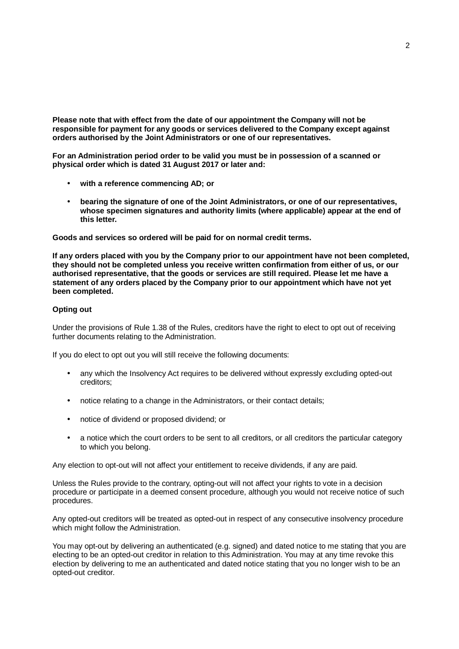**Please note that with effect from the date of our appointment the Company will not be responsible for payment for any goods or services delivered to the Company except against orders authorised by the Joint Administrators or one of our representatives.**

**For an Administration period order to be valid you must be in possession of a scanned or physical order which is dated 31 August 2017 or later and:**

- **with a reference commencing AD; or**
- **bearing the signature of one of the Joint Administrators, or one of our representatives, whose specimen signatures and authority limits (where applicable) appear at the end of this letter.**

**Goods and services so ordered will be paid for on normal credit terms.**

**If any orders placed with you by the Company prior to our appointment have not been completed, they should not be completed unless you receive written confirmation from either of us, or our authorised representative, that the goods or services are still required. Please let me have a statement of any orders placed by the Company prior to our appointment which have not yet been completed.**

#### **Opting out**

Under the provisions of Rule 1.38 of the Rules, creditors have the right to elect to opt out of receiving further documents relating to the Administration.

If you do elect to opt out you will still receive the following documents:

- any which the Insolvency Act requires to be delivered without expressly excluding opted-out creditors;
- notice relating to a change in the Administrators, or their contact details;
- notice of dividend or proposed dividend; or
- a notice which the court orders to be sent to all creditors, or all creditors the particular category to which you belong.

Any election to opt-out will not affect your entitlement to receive dividends, if any are paid.

Unless the Rules provide to the contrary, opting-out will not affect your rights to vote in a decision procedure or participate in a deemed consent procedure, although you would not receive notice of such procedures.

Any opted-out creditors will be treated as opted-out in respect of any consecutive insolvency procedure which might follow the Administration.

You may opt-out by delivering an authenticated (e.g. signed) and dated notice to me stating that you are electing to be an opted-out creditor in relation to this Administration. You may at any time revoke this election by delivering to me an authenticated and dated notice stating that you no longer wish to be an opted-out creditor.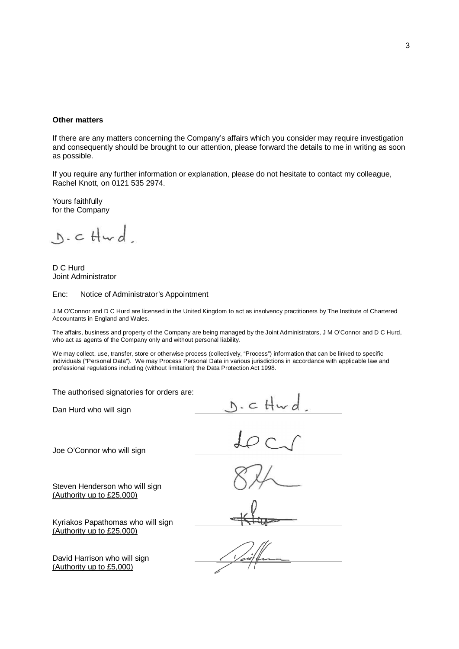#### **Other matters**

If there are any matters concerning the Company's affairs which you consider may require investigation and consequently should be brought to our attention, please forward the details to me in writing as soon as possible.

If you require any further information or explanation, please do not hesitate to contact my colleague, Rachel Knott, on 0121 535 2974.

Yours faithfully for the Company

 $D.$ c $Hwd$ 

D C Hurd Joint Administrator

#### Enc: Notice of Administrator's Appointment

J M O'Connor and D C Hurd are licensed in the United Kingdom to act as insolvency practitioners by The Institute of Chartered Accountants in England and Wales.

The affairs, business and property of the Company are being managed by the Joint Administrators, J M O'Connor and D C Hurd, who act as agents of the Company only and without personal liability.

We may collect, use, transfer, store or otherwise process (collectively, "Process") information that can be linked to specific individuals ("Personal Data"). We may Process Personal Data in various jurisdictions in accordance with applicable law and professional regulations including (without limitation) the Data Protection Act 1998.

The authorised signatories for orders are:

Dan Hurd who will sign

Joe O'Connor who will sign

Steven Henderson who will sign (Authority up to £25,000)

Kyriakos Papathomas who will sign (Authority up to £25,000)

David Harrison who will sign (Authority up to £5,000)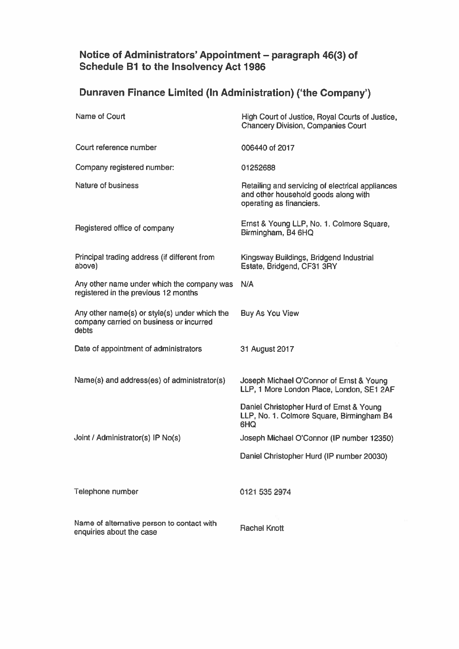# Notice of Administrators' Appointment - paragraph 46(3) of<br>Schedule B1 to the Insolvency Act 1986

# Dunraven Finance Limited (In Administration) ('the Company')

| Name of Court                                                                                     | High Court of Justice, Royal Courts of Justice,<br><b>Chancery Division, Companies Court</b>                         |
|---------------------------------------------------------------------------------------------------|----------------------------------------------------------------------------------------------------------------------|
| Court reference number                                                                            | 006440 of 2017                                                                                                       |
| Company registered number:                                                                        | 01252688                                                                                                             |
| Nature of business                                                                                | Retailing and servicing of electrical appliances<br>and other household goods along with<br>operating as financiers. |
| Registered office of company                                                                      | Ernst & Young LLP, No. 1. Colmore Square,<br>Birmingham, B4 6HQ                                                      |
| Principal trading address (if different from<br>above)                                            | Kingsway Buildings, Bridgend Industrial<br>Estate, Bridgend, CF31 3RY                                                |
| Any other name under which the company was<br>registered in the previous 12 months                | N/A                                                                                                                  |
| Any other name(s) or style(s) under which the<br>company carried on business or incurred<br>debts | <b>Buy As You View</b>                                                                                               |
| Date of appointment of administrators                                                             | 31 August 2017                                                                                                       |
| Name(s) and address(es) of administrator(s)                                                       | Joseph Michael O'Connor of Ernst & Young<br>LLP, 1 More London Place, London, SE1 2AF                                |
|                                                                                                   | Daniel Christopher Hurd of Ernst & Young<br>LLP, No. 1. Colmore Square, Birmingham B4<br>6HQ                         |
| Joint / Administrator(s) IP No(s)                                                                 | Joseph Michael O'Connor (IP number 12350)                                                                            |
|                                                                                                   | Daniel Christopher Hurd (IP number 20030)                                                                            |
| Telephone number                                                                                  | 0121 535 2974                                                                                                        |
| Name of alternative person to contact with<br>enquiries about the case                            | <b>Rachel Knott</b>                                                                                                  |